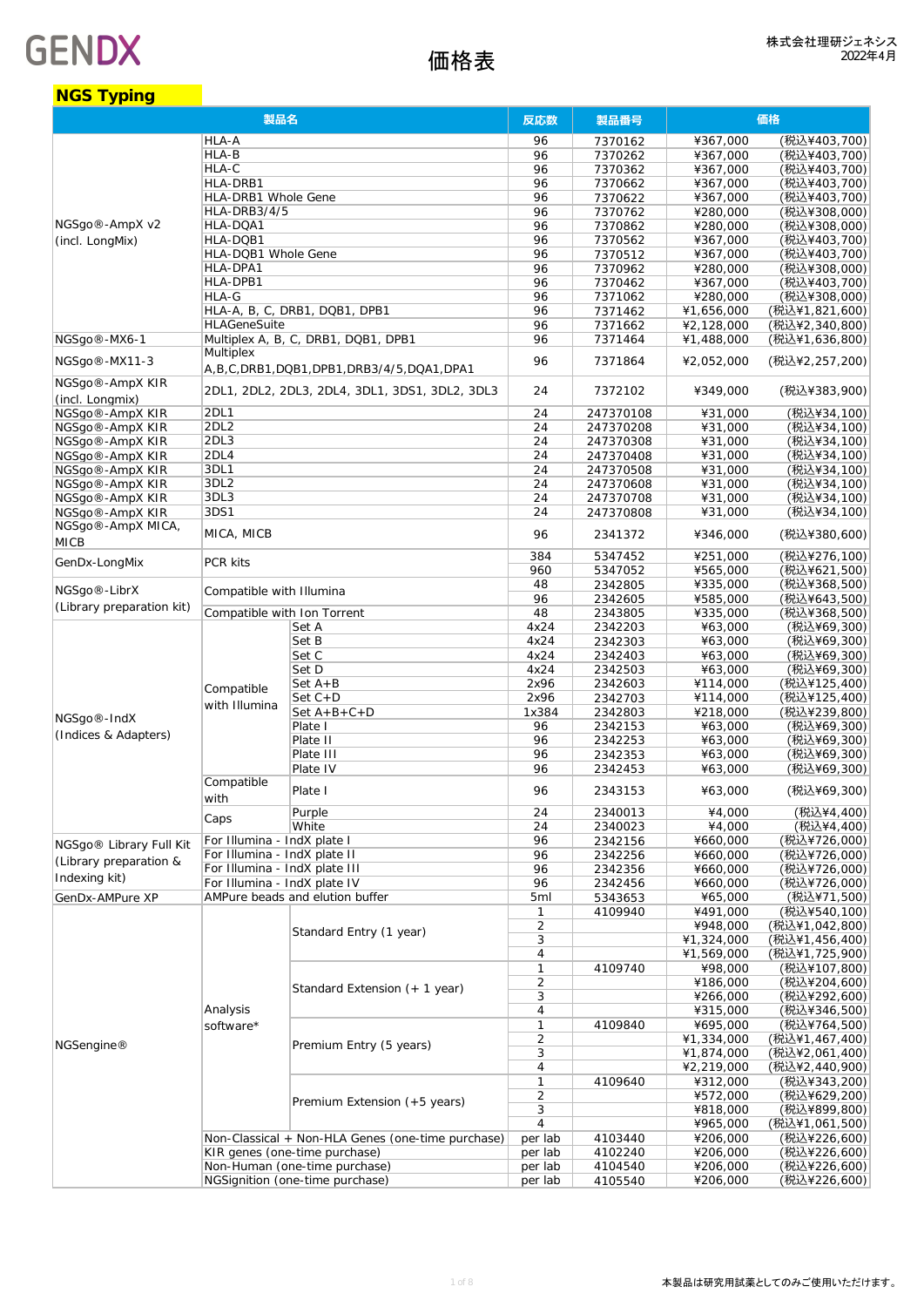| <b>NGS Typing</b>                               |                                                             |                                                   |                |                        |                          |                                  |
|-------------------------------------------------|-------------------------------------------------------------|---------------------------------------------------|----------------|------------------------|--------------------------|----------------------------------|
|                                                 | 製品名                                                         |                                                   | 反応数            | 製品番号                   | 価格                       |                                  |
|                                                 | HLA-A                                                       |                                                   | 96             | 7370162                | ¥367,000                 | (税込¥403,700)                     |
|                                                 | HLA-B                                                       |                                                   | 96             | 7370262                | ¥367,000                 | (税込¥403,700)                     |
|                                                 | HLA-C                                                       |                                                   | 96             | 7370362                | ¥367,000                 | (税込¥403.700)                     |
|                                                 | HLA-DRB1                                                    |                                                   | 96             | 7370662                | ¥367,000                 | (税込¥403,700)                     |
|                                                 | HLA-DRB1 Whole Gene                                         |                                                   | 96             | 7370622                | ¥367,000                 | (税込¥403,700)                     |
| NGSgo <sup>®</sup> -AmpX v2                     | HLA-DRB3/4/5<br>HLA-DQA1                                    |                                                   | 96             | 7370762                | ¥280,000                 | (税込¥308,000)                     |
| (incl. LongMix)                                 | HLA-DQB1                                                    |                                                   | 96<br>96       | 7370862<br>7370562     | ¥280,000<br>¥367,000     | (税込¥308,000)<br>(税込¥403,700)     |
|                                                 | HLA-DQB1 Whole Gene                                         |                                                   | 96             | 7370512                | ¥367,000                 | (税込¥403,700)                     |
|                                                 | HLA-DPA1                                                    |                                                   | 96             | 7370962                | ¥280,000                 | (税込¥308,000)                     |
|                                                 | HLA-DPB1                                                    |                                                   | 96             | 7370462                | ¥367,000                 | (税込¥403,700)                     |
|                                                 | HLA-G                                                       |                                                   | 96             | 7371062                | ¥280,000                 | (税込¥308,000)                     |
|                                                 |                                                             | HLA-A, B, C, DRB1, DQB1, DPB1                     | 96             | 7371462                | ¥1,656,000               | (税込¥1,821,600)                   |
|                                                 | <b>HLAGeneSuite</b>                                         |                                                   | 96             | 7371662                | ¥2,128,000               | (税込¥2,340,800)                   |
| NGSgo <sup>®</sup> -MX6-1                       |                                                             | Multiplex A, B, C, DRB1, DQB1, DPB1               | 96             | 7371464                | ¥1,488,000               | (税込¥1,636,800)                   |
| NGSgo <sup>®</sup> -MX11-3                      | Multiplex                                                   | A,B,C,DRB1,DQB1,DPB1,DRB3/4/5,DQA1,DPA1           | 96             | 7371864                | ¥2,052,000               | (税込¥2,257,200)                   |
| NGSgo®-AmpX KIR                                 |                                                             | 2DL1, 2DL2, 2DL3, 2DL4, 3DL1, 3DS1, 3DL2, 3DL3    |                |                        |                          |                                  |
| (incl. Lonamix)                                 |                                                             |                                                   | 24             | 7372102                | ¥349,000                 | (税込¥383,900)                     |
| NGSqo®-AmpX KIR                                 | 2DL1                                                        |                                                   | 24             | 247370108              | ¥31,000                  | (税込¥34,100)                      |
| NGSgo <sup>®</sup> -AmpX KIR                    | 2DL2                                                        |                                                   | 24             | 247370208              | ¥31.000                  | (税込¥34,100)                      |
| NGSqo®-AmpX KIR                                 | 2DL3                                                        |                                                   | 24             | 247370308              | ¥31.000                  | (税込¥34,100)                      |
| NGSgo®-AmpX KIR                                 | 2DL4                                                        |                                                   | 24             | 247370408              | ¥31,000                  | (税込¥34,100)                      |
| NGSgo®-AmpX KIR                                 | 3DL1                                                        |                                                   | 24             | 247370508              | ¥31,000                  | (税込¥34,100)                      |
| NGSgo®-AmpX KIR                                 | 3DL <sub>2</sub><br>3DL3                                    |                                                   | 24             | 247370608              | ¥31,000<br>¥31,000       | (税込¥34,100)                      |
| NGSgo®-AmpX KIR<br>NGSqo <sup>®</sup> -AmpX KIR | 3DS1                                                        |                                                   | 24<br>24       | 247370708<br>247370808 |                          | (税込¥34,100)<br>(税込¥34,100)       |
| NGSgo®-AmpX MICA,                               |                                                             |                                                   |                |                        | ¥31,000                  |                                  |
| <b>MICB</b>                                     | MICA, MICB                                                  |                                                   | 96             | 2341372                | ¥346,000                 | (税込¥380,600)                     |
| GenDx-LongMix                                   | PCR kits                                                    |                                                   | 384            | 5347452                | ¥251,000                 | (税込¥276,100)                     |
|                                                 |                                                             |                                                   | 960            | 5347052                | ¥565,000                 | (税込¥621,500)                     |
| NGSgo <sup>®</sup> -LibrX                       | Compatible with Illumina                                    |                                                   | 48<br>96       | 2342805<br>2342605     | ¥335,000<br>¥585,000     | (税込¥368,500)<br>(税込¥643,500)     |
| (Library preparation kit)                       | Compatible with Ion Torrent                                 |                                                   | 48             | 2343805                | ¥335,000                 | (税込¥368,500)                     |
|                                                 |                                                             | Set A                                             | 4x24           | 2342203                | ¥63,000                  | (税込¥69,300)                      |
|                                                 | Compatible<br>with Illumina                                 | Set B                                             | 4x24           | 2342303                | ¥63,000                  | (税込¥69,300)                      |
|                                                 |                                                             | Set C                                             | 4x24           | 2342403                | ¥63,000                  | (税込¥69,300)                      |
|                                                 |                                                             | Set D                                             | 4x24           | 2342503                | ¥63,000                  | (税込¥69,300)                      |
|                                                 |                                                             | $Set A + B$                                       | 2x96           | 2342603                | ¥114,000                 | (税込¥125,400)                     |
|                                                 |                                                             | $Set C + D$                                       | 2x96           | 2342703                | ¥114,000                 | (税込¥125,400)                     |
| NGSgo <sup>®</sup> -IndX                        |                                                             | $Set A+B+C+D$                                     | 1x384          | 2342803                | ¥218,000                 | (税込¥239,800)                     |
| (Indices & Adapters)                            |                                                             | Plate I                                           | 96             | 2342153                | ¥63,000                  | (税込¥69,300)                      |
|                                                 |                                                             | Plate II                                          | 96             | 2342253                | ¥63,000                  | (税込¥69,300)                      |
|                                                 |                                                             | Plate III<br>Plate IV                             | 96<br>96       | 2342353                | ¥63,000<br>¥63,000       | (税込¥69,300)<br>(税込¥69,300)       |
|                                                 | Compatible                                                  |                                                   |                | 2342453                |                          |                                  |
|                                                 | with                                                        | Plate I                                           | 96             | 2343153                | ¥63,000                  | (税込¥69,300)                      |
|                                                 | Caps                                                        | Purple                                            | 24             | 2340013                | ¥4,000                   | (税込¥4,400)                       |
|                                                 |                                                             | White                                             | 24             | 2340023                | ¥4,000                   | (税込¥4,400)                       |
| NGSgo® Library Full Kit                         | For Illumina - IndX plate I<br>For Illumina - IndX plate II |                                                   | 96             | 2342156                | ¥660,000                 | (税込¥726,000)                     |
| (Library preparation &                          | For Illumina - IndX plate III                               |                                                   | 96<br>96       | 2342256<br>2342356     | ¥660,000<br>¥660,000     | (税込¥726,000)<br>(税込¥726,000)     |
| Indexing kit)                                   | For Illumina - IndX plate IV                                |                                                   | 96             | 2342456                | ¥660,000                 | (税込¥726,000)                     |
| GenDx-AMPure XP                                 |                                                             | AMPure beads and elution buffer                   | 5ml            | 5343653                | ¥65,000                  | (税込¥71,500)                      |
|                                                 |                                                             |                                                   | 1              | 4109940                | ¥491,000                 | (税込¥540,100)                     |
|                                                 |                                                             |                                                   | $\overline{2}$ |                        | ¥948,000                 | (税込¥1,042,800)                   |
|                                                 |                                                             | Standard Entry (1 year)                           | 3              |                        | ¥1,324,000               | (税込¥1,456,400)                   |
|                                                 |                                                             |                                                   | 4              |                        | ¥1,569,000               | (税込¥1,725,900)                   |
|                                                 |                                                             |                                                   | 1              | 4109740                | ¥98,000                  | (税込¥107,800)                     |
|                                                 |                                                             | Standard Extension (+ 1 year)                     | 2              |                        | ¥186,000                 | (税込¥204,600)                     |
|                                                 |                                                             |                                                   | 3              |                        | ¥266,000                 | (税込¥292,600)                     |
|                                                 | Analysis                                                    |                                                   | 4              |                        | ¥315,000                 | (税込¥346,500)                     |
|                                                 | software*                                                   |                                                   | 1              | 4109840                | ¥695,000                 | (税込¥764,500)                     |
| NGSengine®                                      |                                                             | Premium Entry (5 years)                           | $\overline{2}$ |                        | ¥1,334,000               | (税込¥1,467,400)                   |
|                                                 |                                                             |                                                   | 3<br>4         |                        | ¥1,874,000<br>¥2,219,000 | (税込¥2,061,400)<br>(税込¥2,440,900) |
|                                                 |                                                             |                                                   | 1              | 4109640                | ¥312,000                 | (税込¥343,200)                     |
|                                                 |                                                             |                                                   | 2              |                        | ¥572,000                 | (税込¥629,200)                     |
|                                                 |                                                             | Premium Extension (+5 years)                      | 3              |                        | ¥818,000                 | (税込¥899,800)                     |
|                                                 |                                                             |                                                   | 4              |                        | ¥965,000                 | (税込¥1,061,500)                   |
|                                                 |                                                             | Non-Classical + Non-HLA Genes (one-time purchase) | per lab        | 4103440                | ¥206,000                 | (税込¥226,600)                     |
|                                                 |                                                             | KIR genes (one-time purchase)                     | per lab        | 4102240                | ¥206,000                 | (税込¥226,600)                     |
|                                                 |                                                             | Non-Human (one-time purchase)                     | per lab        | 4104540                | ¥206,000                 | (税込¥226,600)                     |
|                                                 |                                                             | NGSignition (one-time purchase)                   | per lab        | 4105540                | ¥206,000                 | (税込¥226,600)                     |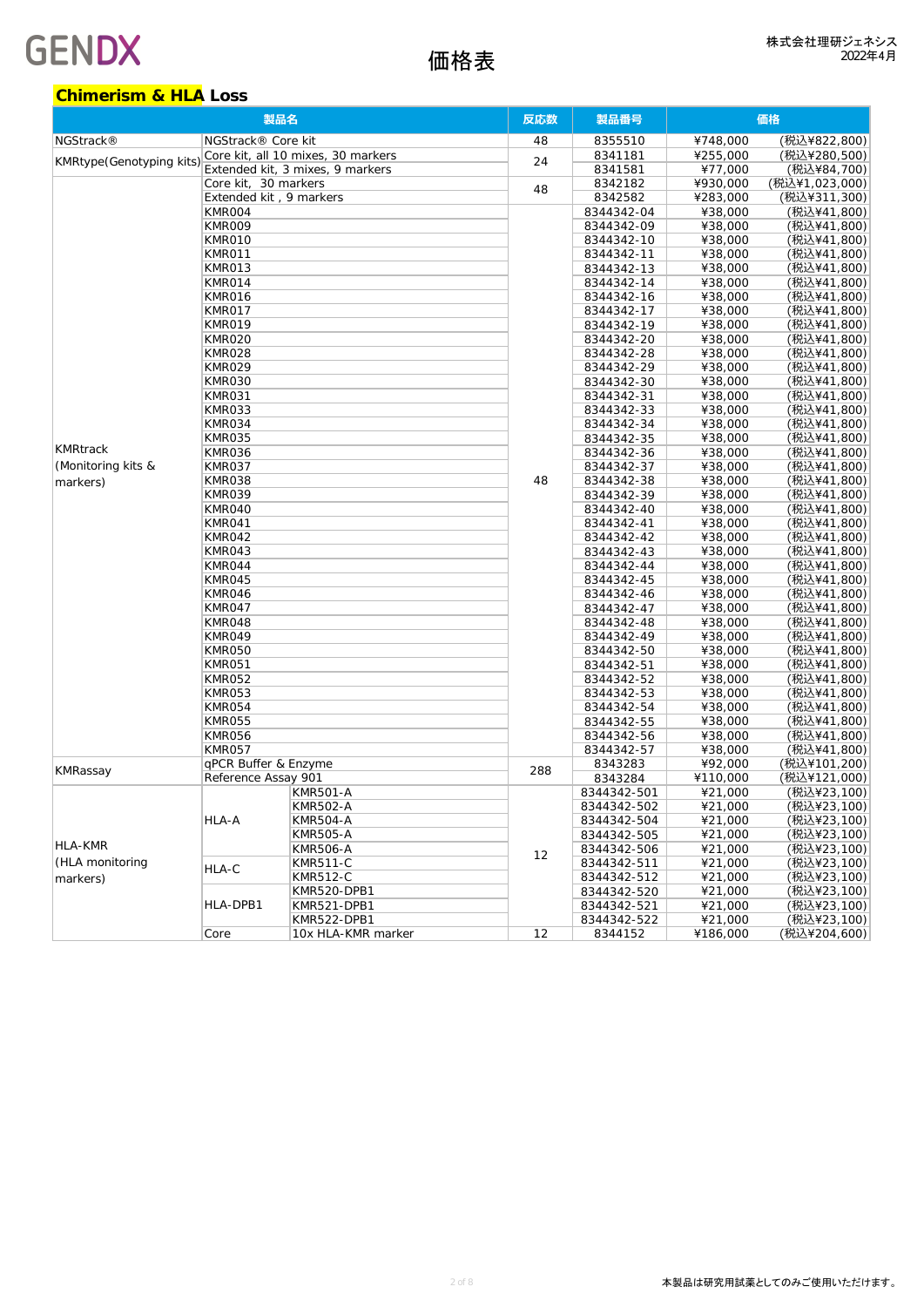### **Chimerism & HLA Loss**

| 製品名                       |                         |                                    | 反応数 | 製品番号        | 価格       |                |
|---------------------------|-------------------------|------------------------------------|-----|-------------|----------|----------------|
| NGStrack <sup>®</sup>     | NGStrack® Core kit      |                                    | 48  | 8355510     | ¥748,000 | (税込¥822,800)   |
|                           |                         | Core kit, all 10 mixes, 30 markers |     | 8341181     | ¥255,000 | (税込¥280,500)   |
| KMRtype (Genotyping kits) |                         | Extended kit, 3 mixes, 9 markers   | 24  | 8341581     | ¥77,000  | (税込¥84,700)    |
|                           | Core kit, 30 markers    |                                    |     | 8342182     | ¥930,000 | (税込¥1,023,000) |
|                           | Extended kit, 9 markers |                                    | 48  | 8342582     | ¥283,000 | (税込¥311,300)   |
|                           | KMR004                  |                                    |     | 8344342-04  | ¥38,000  | (税込¥41,800)    |
|                           | <b>KMR009</b>           |                                    |     | 8344342-09  | ¥38,000  | (税込¥41,800)    |
|                           | KMR010                  |                                    |     | 8344342-10  | ¥38,000  | (税込¥41,800)    |
|                           | KMR011                  |                                    |     | 8344342-11  | ¥38,000  | (税込¥41,800)    |
|                           | KMR013                  |                                    |     | 8344342-13  | ¥38,000  | (税込¥41,800)    |
|                           | KMR014                  |                                    |     | 8344342-14  | ¥38,000  | (税込¥41,800)    |
|                           | KMR016                  |                                    |     | 8344342-16  | ¥38,000  | (税込¥41,800)    |
|                           |                         |                                    |     | 8344342-17  | ¥38,000  | (税込¥41,800)    |
|                           | KMR017<br>KMR019        |                                    |     | 8344342-19  | ¥38,000  | (税込¥41,800)    |
|                           | KMR020                  |                                    |     |             |          | (税込¥41,800)    |
|                           |                         |                                    |     | 8344342-20  | ¥38,000  |                |
|                           | KMR028                  |                                    |     | 8344342-28  | ¥38,000  | (税込¥41,800)    |
|                           | <b>KMR029</b>           |                                    |     | 8344342-29  | ¥38,000  | (税込¥41,800)    |
|                           | KMR030                  |                                    |     | 8344342-30  | ¥38,000  | (税込¥41,800)    |
|                           | KMR031                  |                                    |     | 8344342-31  | ¥38,000  | (税込¥41,800)    |
|                           | KMR033                  |                                    |     | 8344342-33  | ¥38,000  | (税込¥41,800)    |
|                           | KMR034                  |                                    |     | 8344342-34  | ¥38,000  | (税込¥41,800)    |
| <b>KMRtrack</b>           | KMR035                  |                                    |     | 8344342-35  | ¥38,000  | (税込¥41,800)    |
|                           | KMR036                  |                                    |     | 8344342-36  | ¥38,000  | (税込¥41,800)    |
| (Monitoring kits &        | KMR037                  |                                    |     | 8344342-37  | ¥38,000  | (税込¥41,800)    |
| markers)                  | KMR038                  |                                    | 48  | 8344342-38  | ¥38,000  | (税込¥41,800)    |
|                           | KMR039                  |                                    |     | 8344342-39  | ¥38,000  | (税込¥41,800)    |
|                           | KMR040                  |                                    |     | 8344342-40  | ¥38,000  | (税込¥41,800)    |
|                           | KMR041                  |                                    |     | 8344342-41  | ¥38,000  | (税込¥41,800)    |
|                           | KMR042                  |                                    |     | 8344342-42  | ¥38,000  | (税込¥41,800)    |
|                           | KMR043                  |                                    |     | 8344342-43  | ¥38,000  | (税込¥41,800)    |
|                           | KMR044                  |                                    |     | 8344342-44  | ¥38,000  | (税込¥41,800)    |
|                           | KMR045                  |                                    |     | 8344342-45  | ¥38,000  | (税込¥41,800)    |
|                           | KMR046                  |                                    |     | 8344342-46  | ¥38,000  | (税込¥41,800)    |
|                           | KMR047                  |                                    |     | 8344342-47  | ¥38,000  | (税込¥41,800)    |
|                           | KMR048                  |                                    |     | 8344342-48  | ¥38,000  | (税込¥41,800)    |
|                           | KMR049                  |                                    |     | 8344342-49  | ¥38,000  | (税込¥41,800)    |
|                           | KMR050                  |                                    |     | 8344342-50  | ¥38,000  | (税込¥41,800)    |
|                           | KMR051                  |                                    |     | 8344342-51  | ¥38,000  | (税込¥41,800)    |
|                           | KMR052                  |                                    |     | 8344342-52  | ¥38,000  | (税込¥41,800)    |
|                           | KMR053                  |                                    |     | 8344342-53  | ¥38,000  | (税込¥41,800)    |
|                           | KMR054                  |                                    |     | 8344342-54  | ¥38,000  | (税込¥41,800)    |
|                           | KMR055                  |                                    |     | 8344342-55  | ¥38,000  | (税込¥41,800)    |
|                           | KMR056                  |                                    |     | 8344342-56  | ¥38,000  | (税込¥41,800)    |
|                           | KMR057                  |                                    |     | 8344342-57  | ¥38,000  | (税込¥41,800)    |
|                           | qPCR Buffer & Enzyme    |                                    | 288 | 8343283     | ¥92,000  | (税込¥101,200)   |
| KMRassay                  | Reference Assay 901     |                                    |     | 8343284     | ¥110,000 | (税込¥121,000)   |
|                           |                         | <b>KMR501-A</b>                    |     | 8344342-501 | ¥21,000  | (税込¥23,100)    |
|                           |                         | KMR502-A                           |     | 8344342-502 | ¥21,000  | (税込¥23,100)    |
|                           | HLA-A                   | <b>KMR504-A</b>                    |     | 8344342-504 | ¥21,000  | (税込¥23,100)    |
|                           |                         | KMR505-A                           |     | 8344342-505 | ¥21,000  | (税込¥23,100)    |
| HLA-KMR                   |                         | <b>KMR506-A</b>                    |     | 8344342-506 | ¥21,000  | (税込¥23,100)    |
| (HLA monitoring           |                         | KMR511-C                           | 12  | 8344342-511 | ¥21,000  | (税込¥23,100)    |
| markers)                  | HLA-C                   | KMR512-C                           |     | 8344342-512 | ¥21,000  | (税込¥23,100)    |
|                           |                         | KMR520-DPB1                        |     | 8344342-520 | ¥21,000  | (税込¥23,100)    |
|                           | HLA-DPB1                | KMR521-DPB1                        |     | 8344342-521 | ¥21,000  | (税込¥23,100)    |
|                           |                         | KMR522-DPB1                        |     | 8344342-522 | ¥21,000  | (税込¥23,100)    |
|                           | Core                    | 10x HLA-KMR marker                 | 12  | 8344152     | ¥186,000 | (税込¥204,600)   |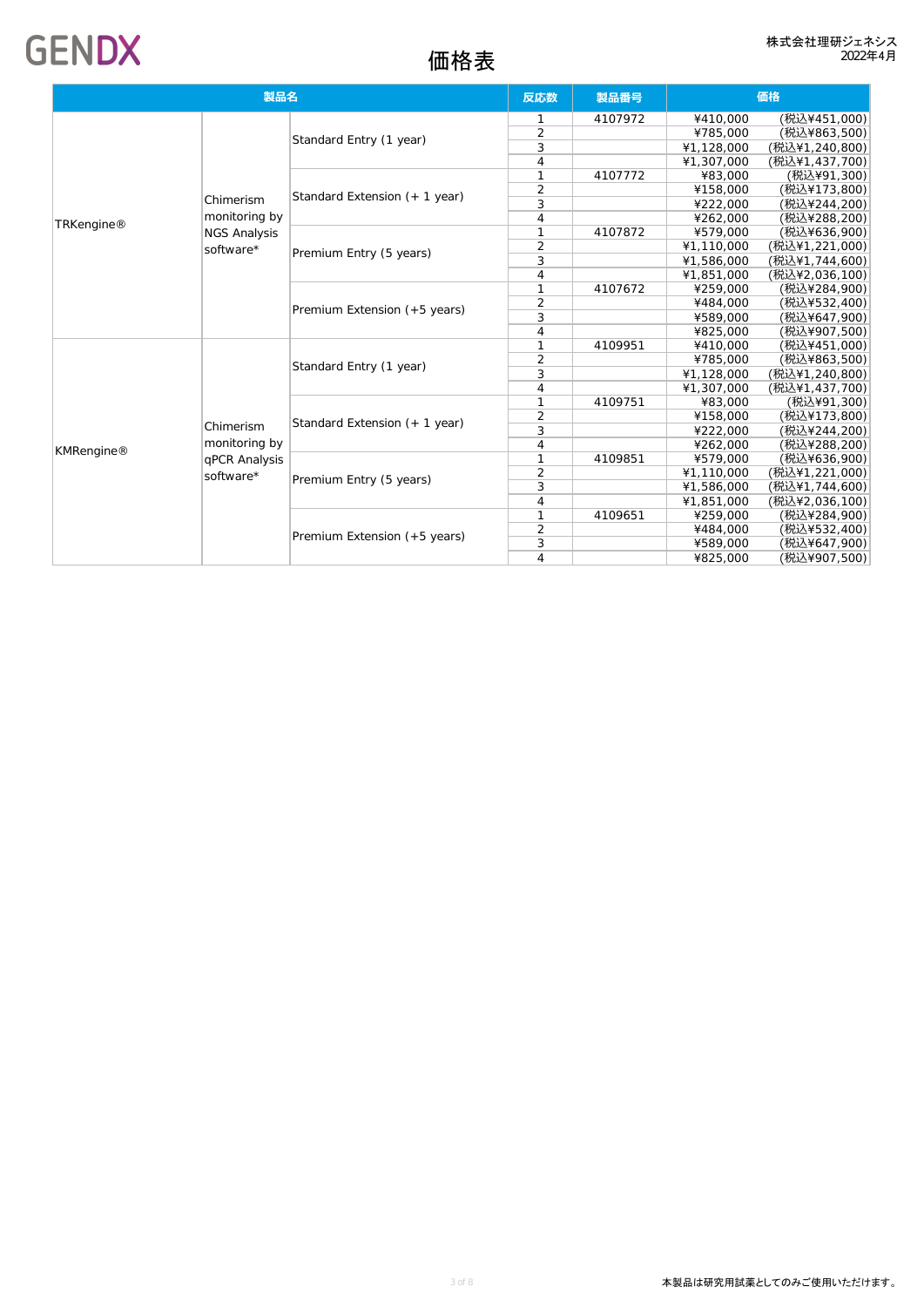| 製品名        |                     |                               | 反応数            | 製品番号    |            | 価格             |
|------------|---------------------|-------------------------------|----------------|---------|------------|----------------|
|            |                     |                               | $\mathbf 1$    | 4107972 | ¥410,000   | (税込¥451,000)   |
|            |                     |                               | $\overline{2}$ |         | ¥785,000   | (税込¥863,500)   |
|            |                     | Standard Entry (1 year)       | 3              |         | ¥1,128,000 | (税込¥1,240,800) |
|            |                     |                               | $\overline{4}$ |         | ¥1,307,000 | (税込¥1,437,700) |
|            |                     |                               |                | 4107772 | ¥83,000    | (税込¥91,300)    |
|            |                     |                               | 2              |         | ¥158,000   | (税込¥173,800)   |
|            | Chimerism           | Standard Extension (+ 1 year) | 3              |         | ¥222,000   | (税込¥244,200)   |
|            | monitoring by       |                               | $\overline{4}$ |         | ¥262,000   | (税込¥288,200)   |
| TRKengine® | <b>NGS Analysis</b> |                               |                | 4107872 | ¥579,000   | (税込¥636,900)   |
|            | software*           |                               | $\overline{2}$ |         | ¥1,110,000 | (税込¥1,221,000) |
|            |                     | Premium Entry (5 years)       | 3              |         | ¥1,586,000 | (税込¥1,744,600) |
|            |                     |                               | $\overline{4}$ |         | ¥1,851,000 | (税込¥2,036,100) |
|            |                     | Premium Extension (+5 years)  | 1              | 4107672 | ¥259,000   | (税込¥284,900)   |
|            |                     |                               | $\overline{2}$ |         | ¥484,000   | (税込¥532,400)   |
|            |                     |                               | 3              |         | ¥589,000   | (税込¥647,900)   |
|            |                     |                               | $\overline{4}$ |         | ¥825,000   | (税込¥907,500)   |
|            |                     | Standard Entry (1 year)       | 1              | 4109951 | ¥410,000   | (税込¥451,000)   |
|            |                     |                               | 2              |         | ¥785,000   | (税込¥863,500)   |
|            |                     |                               | 3              |         | ¥1,128,000 | (税込¥1,240,800) |
|            |                     |                               | $\overline{4}$ |         | ¥1,307,000 | (税込¥1,437,700) |
|            |                     |                               | 1              | 4109751 | ¥83,000    | (税込¥91,300)    |
|            |                     | Standard Extension (+ 1 year) | $\overline{2}$ |         | ¥158,000   | (税込¥173,800)   |
|            | Chimerism           |                               | 3              |         | ¥222,000   | (税込¥244,200)   |
| KMRengine® | monitoring by       |                               | $\overline{4}$ |         | ¥262,000   | (税込¥288,200)   |
|            | qPCR Analysis       |                               |                | 4109851 | ¥579,000   | (税込¥636,900)   |
|            | software*           | Premium Entry (5 years)       | $\overline{2}$ |         | ¥1,110,000 | (税込¥1,221,000) |
|            |                     |                               | 3              |         | ¥1,586,000 | (税込¥1,744,600) |
|            |                     |                               | $\overline{4}$ |         | ¥1,851,000 | (税込¥2,036,100) |
|            |                     |                               |                | 4109651 | ¥259,000   | (税込¥284,900)   |
|            |                     | Premium Extension (+5 years)  | 2              |         | ¥484,000   | (税込¥532,400)   |
|            |                     |                               | 3              |         | ¥589,000   | (税込¥647,900)   |
|            |                     |                               | $\overline{4}$ |         | ¥825,000   | (税込¥907,500)   |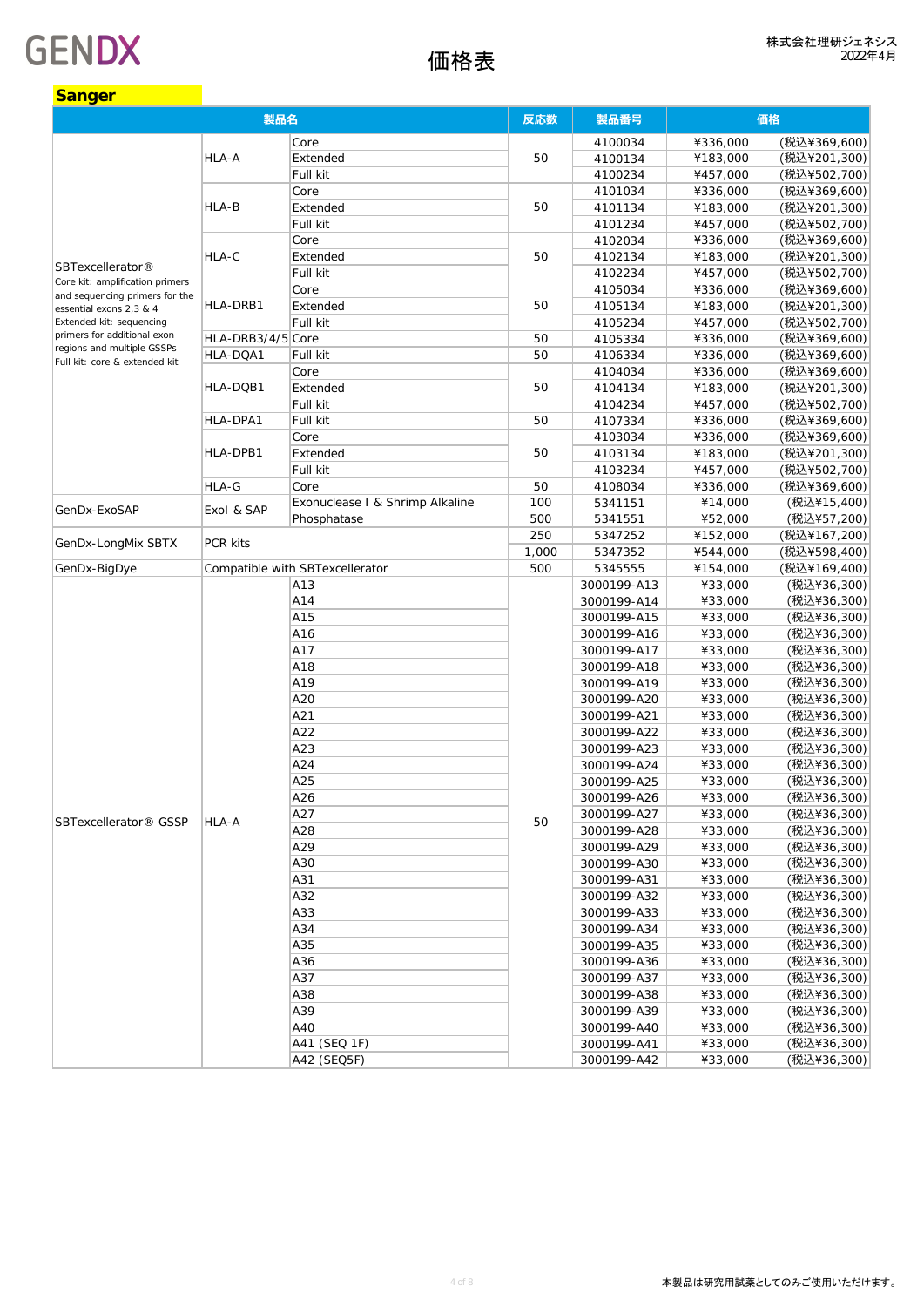| Sanger                                                            |                   |                                 |       |             |          |              |
|-------------------------------------------------------------------|-------------------|---------------------------------|-------|-------------|----------|--------------|
| 製品名                                                               |                   |                                 | 反応数   | 製品番号        |          | 価格           |
|                                                                   |                   | Core                            |       | 4100034     | ¥336,000 | (税込¥369,600) |
|                                                                   | HLA-A             | Extended                        | 50    | 4100134     | ¥183,000 | (税込¥201,300) |
|                                                                   |                   | Full kit                        |       | 4100234     | ¥457,000 | (税込¥502,700) |
|                                                                   |                   | Core                            |       | 4101034     | ¥336,000 | (税込¥369,600) |
|                                                                   | HLA-B             | Extended                        | 50    | 4101134     | ¥183,000 | (税込¥201,300) |
|                                                                   |                   | Full kit                        |       | 4101234     | ¥457,000 | (税込¥502,700) |
|                                                                   |                   | Core                            |       | 4102034     | ¥336,000 | (税込¥369,600) |
|                                                                   | HLA-C             | Extended                        | 50    | 4102134     | ¥183,000 | (税込¥201,300) |
| SBTexcellerator®                                                  |                   | Full kit                        |       | 4102234     | ¥457,000 | (税込¥502,700) |
| Core kit: amplification primers<br>and sequencing primers for the |                   | Core                            |       | 4105034     | ¥336,000 | (税込¥369,600) |
| essential exons 2,3 & 4                                           | HLA-DRB1          | Extended                        | 50    | 4105134     | ¥183,000 | (税込¥201,300) |
| Extended kit: sequencing                                          |                   | Full kit                        |       | 4105234     | ¥457,000 | (税込¥502,700) |
| primers for additional exon                                       | HLA-DRB3/4/5 Core |                                 | 50    | 4105334     | ¥336,000 | (税込¥369,600) |
| regions and multiple GSSPs                                        | HLA-DQA1          | Full kit                        | 50    | 4106334     | ¥336,000 | (税込¥369,600) |
| Full kit: core & extended kit                                     |                   | Core                            |       | 4104034     | ¥336,000 | (税込¥369,600) |
|                                                                   | HLA-DQB1          | Extended                        | 50    | 4104134     | ¥183,000 | (税込¥201,300) |
|                                                                   |                   | Full kit                        |       | 4104234     | ¥457,000 | (税込¥502,700) |
|                                                                   | HLA-DPA1          | Full kit                        | 50    | 4107334     | ¥336,000 | (税込¥369,600) |
|                                                                   |                   | Core                            |       | 4103034     | ¥336,000 | (税込¥369,600) |
|                                                                   | HLA-DPB1          | Extended                        | 50    | 4103134     | ¥183,000 | (税込¥201,300) |
|                                                                   |                   | Full kit                        |       | 4103234     | ¥457,000 | (税込¥502,700) |
|                                                                   | HLA-G             | Core                            | 50    | 4108034     | ¥336,000 | (税込¥369,600) |
|                                                                   |                   | Exonuclease I & Shrimp Alkaline | 100   |             | ¥14,000  | (税込¥15,400)  |
| GenDx-ExoSAP                                                      | Exol & SAP        | Phosphatase                     | 500   | 5341151     | ¥52,000  | (税込¥57,200)  |
|                                                                   |                   |                                 |       | 5341551     |          |              |
| GenDx-LongMix SBTX                                                | PCR kits          |                                 | 250   | 5347252     | ¥152,000 | (税込¥167,200) |
|                                                                   |                   |                                 | 1,000 | 5347352     | ¥544,000 | (税込¥598,400) |
| GenDx-BigDye                                                      |                   | Compatible with SBTexcellerator | 500   | 5345555     | ¥154,000 | (税込¥169,400) |
|                                                                   |                   | A13                             |       | 3000199-A13 | ¥33,000  | (税込¥36,300)  |
|                                                                   |                   | A14                             |       | 3000199-A14 | ¥33,000  | (税込¥36,300)  |
|                                                                   |                   | A15                             |       | 3000199-A15 | ¥33,000  | (税込¥36,300)  |
|                                                                   |                   | A16                             |       | 3000199-A16 | ¥33,000  | (税込¥36,300)  |
|                                                                   |                   | A17                             |       | 3000199-A17 | ¥33,000  | (税込¥36,300)  |
|                                                                   |                   | A18                             |       | 3000199-A18 | ¥33,000  | (税込¥36,300)  |
|                                                                   |                   | A19                             |       | 3000199-A19 | ¥33,000  | (税込¥36,300)  |
|                                                                   |                   | A20                             |       | 3000199-A20 | ¥33,000  | (税込¥36,300)  |
|                                                                   |                   | A21                             |       | 3000199-A21 | ¥33,000  | (税込¥36,300)  |
|                                                                   |                   | A22                             |       | 3000199-A22 | ¥33,000  | (税込¥36,300)  |
|                                                                   |                   | A23                             |       | 3000199-A23 | ¥33,000  | (税込¥36,300)  |
|                                                                   |                   | A24                             |       | 3000199-A24 | ¥33,000  | (税込¥36,300)  |
|                                                                   |                   | A25                             |       | 3000199-A25 | ¥33,000  | (税込¥36,300)  |
|                                                                   |                   | A26                             |       | 3000199-A26 | ¥33,000  | (税込¥36,300)  |
| SBTexcellerator® GSSP                                             | HLA-A             | A27                             | 50    | 3000199-A27 | ¥33,000  | (税込¥36,300)  |
|                                                                   |                   | A28                             |       | 3000199-A28 | ¥33,000  | (税込¥36,300)  |
|                                                                   |                   | A29                             |       | 3000199-A29 | ¥33,000  | (税込¥36,300)  |
|                                                                   |                   | A30                             |       | 3000199-A30 | ¥33,000  | (税込¥36,300)  |
|                                                                   |                   | A31                             |       | 3000199-A31 | ¥33,000  | (税込¥36,300)  |
|                                                                   |                   | A32                             |       | 3000199-A32 | ¥33,000  | (税込¥36,300)  |
|                                                                   |                   | A33                             |       | 3000199-A33 | ¥33,000  | (税込¥36,300)  |
|                                                                   |                   | A34                             |       | 3000199-A34 | ¥33,000  | (税込¥36,300)  |
|                                                                   |                   | A35                             |       | 3000199-A35 | ¥33,000  | (税込¥36,300)  |
|                                                                   |                   | A36                             |       | 3000199-A36 | ¥33,000  | (税込¥36,300)  |
|                                                                   |                   | A37                             |       | 3000199-A37 | ¥33,000  | (税込¥36,300)  |
|                                                                   |                   | A38                             |       | 3000199-A38 | ¥33,000  | (税込¥36,300)  |
|                                                                   |                   | A39                             |       | 3000199-A39 | ¥33,000  | (税込¥36,300)  |
|                                                                   |                   | A40                             |       | 3000199-A40 | ¥33,000  | (税込¥36,300)  |
|                                                                   |                   | A41 (SEQ 1F)                    |       | 3000199-A41 | ¥33,000  | (税込¥36,300)  |
|                                                                   |                   | A42 (SEQ5F)                     |       | 3000199-A42 | ¥33,000  | (税込¥36,300)  |
|                                                                   |                   |                                 |       |             |          |              |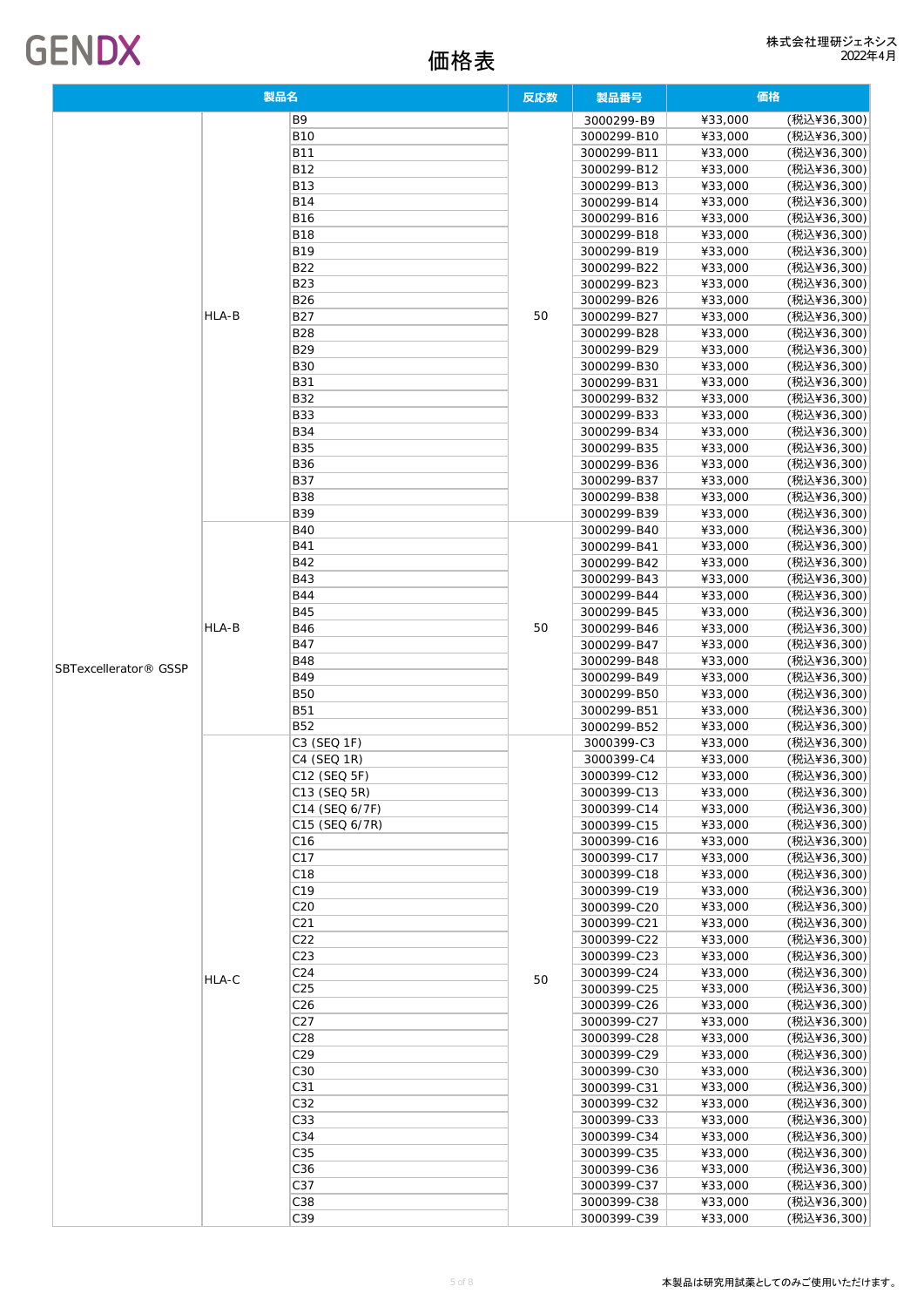## 価格表

| <b>GENDX</b> |  |
|--------------|--|
|--------------|--|

| 製品名                               |       | 反応数                         | 製品番号 | 価格                         |                    |                            |
|-----------------------------------|-------|-----------------------------|------|----------------------------|--------------------|----------------------------|
|                                   |       | B9                          |      | 3000299-B9                 | ¥33,000            | (税込¥36,300)                |
|                                   |       | <b>B10</b>                  |      | 3000299-B10                | ¥33,000            | (税込¥36,300)                |
|                                   |       | <b>B11</b>                  |      | 3000299-B11                | ¥33,000            | (税込¥36,300)                |
|                                   |       | <b>B12</b>                  |      | 3000299-B12                | ¥33,000            | (税込¥36,300)                |
|                                   |       | <b>B13</b>                  |      | 3000299-B13                | ¥33,000            | (税込¥36,300)                |
|                                   |       | <b>B14</b>                  |      | 3000299-B14                | ¥33,000            | (税込¥36,300)                |
|                                   |       | <b>B16</b>                  |      | 3000299-B16                | ¥33,000            | (税込¥36,300)                |
|                                   |       | <b>B18</b>                  |      | 3000299-B18                | ¥33,000            | (税込¥36,300)                |
|                                   |       | <b>B19</b>                  |      | 3000299-B19                | ¥33,000            | (税込¥36,300)                |
|                                   |       | <b>B22</b>                  |      | 3000299-B22                | ¥33,000            | (税込¥36,300)                |
|                                   |       | <b>B23</b>                  |      | 3000299-B23                | ¥33,000            | (税込¥36,300)                |
|                                   |       | <b>B26</b>                  |      | 3000299-B26                | ¥33,000            | (税込¥36,300)                |
|                                   | HLA-B | <b>B27</b>                  | 50   | 3000299-B27                | ¥33,000            | (税込¥36,300)                |
|                                   |       | <b>B28</b><br><b>B29</b>    |      | 3000299-B28                | ¥33,000            | (税込¥36,300)                |
|                                   |       | <b>B30</b>                  |      | 3000299-B29<br>3000299-B30 | ¥33,000<br>¥33,000 | (税込¥36,300)<br>(税込¥36,300) |
|                                   |       | <b>B31</b>                  |      | 3000299-B31                | ¥33,000            | (税込¥36,300)                |
|                                   |       | <b>B32</b>                  |      | 3000299-B32                | ¥33,000            | (税込¥36,300)                |
|                                   |       | <b>B33</b>                  |      | 3000299-B33                | ¥33,000            | (税込¥36,300)                |
|                                   |       | <b>B34</b>                  |      | 3000299-B34                | ¥33,000            | (税込¥36,300)                |
|                                   |       | <b>B35</b>                  |      | 3000299-B35                | ¥33,000            | (税込¥36,300)                |
|                                   |       | <b>B36</b>                  |      | 3000299-B36                | ¥33,000            | (税込¥36,300)                |
|                                   |       | <b>B37</b>                  |      | 3000299-B37                | ¥33,000            | (税込¥36,300)                |
|                                   |       | <b>B38</b>                  |      | 3000299-B38                | ¥33,000            | (税込¥36,300)                |
|                                   |       | <b>B39</b>                  |      | 3000299-B39                | ¥33,000            | (税込¥36,300)                |
|                                   |       | <b>B40</b>                  |      | 3000299-B40                | ¥33,000            | (税込¥36,300)                |
|                                   |       | <b>B41</b>                  | 50   | 3000299-B41                | ¥33,000            | (税込¥36,300)                |
|                                   |       | <b>B42</b>                  |      | 3000299-B42                | ¥33,000            | (税込¥36,300)                |
|                                   |       | <b>B43</b>                  |      | 3000299-B43                | ¥33,000            | (税込¥36,300)                |
|                                   |       | <b>B44</b>                  |      | 3000299-B44                | ¥33,000            | (税込¥36,300)                |
|                                   | HLA-B | <b>B45</b>                  |      | 3000299-B45                | ¥33,000            | (税込¥36,300)                |
|                                   |       | <b>B46</b>                  |      | 3000299-B46                | ¥33,000            | (税込¥36,300)                |
|                                   |       | <b>B47</b>                  |      | 3000299-B47                | ¥33,000            | (税込¥36,300)                |
| SBTexcellerator <sup>®</sup> GSSP |       | <b>B48</b>                  |      | 3000299-B48                | ¥33,000            | (税込¥36,300)                |
|                                   |       | <b>B49</b>                  |      | 3000299-B49                | ¥33,000            | (税込¥36,300)                |
|                                   |       | <b>B50</b>                  |      | 3000299-B50                | ¥33,000            | (税込¥36,300)                |
|                                   |       | <b>B51</b>                  |      | 3000299-B51                | ¥33,000            | (税込¥36,300)                |
|                                   |       | <b>B52</b>                  |      | 3000299-B52                | ¥33,000            | (税込¥36,300)                |
|                                   |       | C3 (SEQ 1F)                 |      | 3000399-C3                 | ¥33,000            | (税込¥36,300)<br>(税込¥36,300) |
|                                   |       | C4 (SEQ 1R)<br>C12 (SEQ 5F) |      | 3000399-C4<br>3000399-C12  | ¥33,000<br>¥33,000 | (税込¥36,300)                |
|                                   |       | C13 (SEQ 5R)                |      | 3000399-C13                | ¥33,000            | (税込¥36,300)                |
|                                   |       | C14 (SEQ 6/7F)              |      | 3000399-C14                | ¥33,000            | (税込¥36,300)                |
|                                   |       | C15 (SEQ 6/7R)              |      | 3000399-C15                | ¥33,000            | (税込¥36,300)                |
|                                   |       | C <sub>16</sub>             |      | 3000399-C16                | ¥33,000            | (税込¥36,300)                |
|                                   |       | C17                         |      | 3000399-C17                | ¥33,000            | (税込¥36,300)                |
|                                   |       | C18                         |      | 3000399-C18                | ¥33,000            | (税込¥36,300)                |
|                                   |       | C <sub>19</sub>             |      | 3000399-C19                | ¥33,000            | (税込¥36,300)                |
|                                   |       | C20                         |      | 3000399-C20                | ¥33,000            | (税込¥36,300)                |
|                                   |       | C <sub>21</sub>             |      | 3000399-C21                | ¥33,000            | (税込¥36,300)                |
|                                   |       | C22                         |      | 3000399-C22                | ¥33,000            | (税込¥36,300)                |
|                                   |       | C23                         |      | 3000399-C23                | ¥33,000            | (税込¥36,300)                |
|                                   | HLA-C | C <sub>24</sub>             | 50   | 3000399-C24                | ¥33,000            | (税込¥36,300)                |
|                                   |       | C <sub>25</sub>             |      | 3000399-C25                | ¥33,000            | (税込¥36,300)                |
|                                   |       | C <sub>26</sub>             |      | 3000399-C26                | ¥33,000            | (税込¥36,300)                |
|                                   |       | C27                         |      | 3000399-C27                | ¥33,000            | (税込¥36,300)                |
|                                   |       | C28                         |      | 3000399-C28                | ¥33,000            | (税込¥36,300)                |
|                                   |       | C29                         |      | 3000399-C29                | ¥33,000            | (税込¥36,300)                |
|                                   |       | C30                         |      | 3000399-C30                | ¥33,000            | (税込¥36,300)                |
|                                   |       | C31                         |      | 3000399-C31                | ¥33,000            | (税込¥36,300)                |
|                                   |       | C32                         |      | 3000399-C32                | ¥33,000            | (税込¥36,300)                |
|                                   |       | C33                         |      | 3000399-C33                | ¥33,000            | (税込¥36,300)                |
|                                   |       | C34                         |      | 3000399-C34                | ¥33,000            | (税込¥36,300)                |
|                                   |       | C35                         |      | 3000399-C35                | ¥33,000            | (税込¥36,300)                |
|                                   |       | C36<br>C37                  |      | 3000399-C36                | ¥33,000            | (税込¥36,300)<br>(税込¥36,300) |
|                                   |       | C38                         |      | 3000399-C37<br>3000399-C38 | ¥33,000<br>¥33,000 | (税込¥36,300)                |
|                                   |       | C39                         |      | 3000399-C39                | ¥33,000            | (税込¥36,300)                |
|                                   |       |                             |      |                            |                    |                            |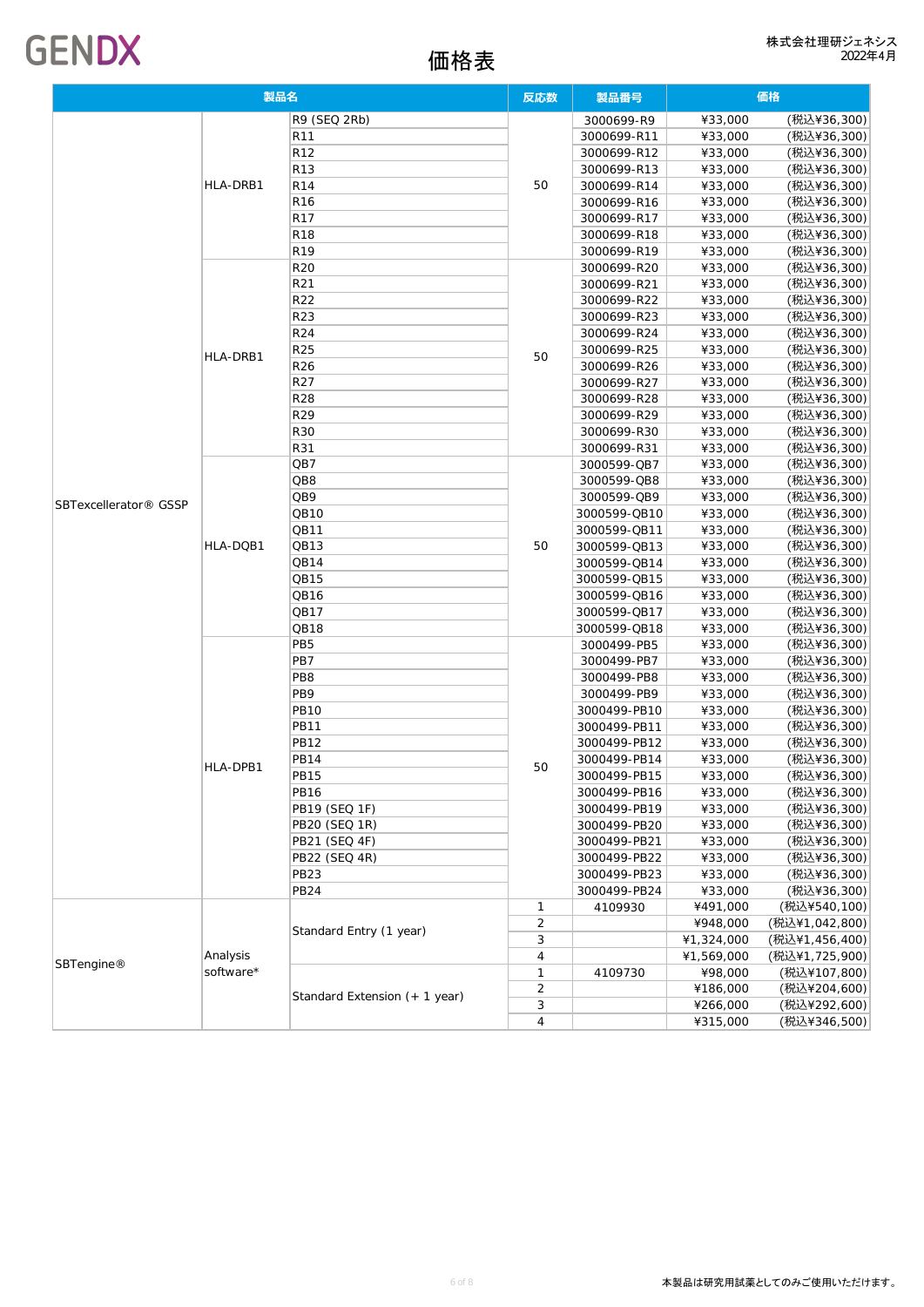

| 製品名                               |           | 反応数                           | 製品番号           | 価格           |            |                |
|-----------------------------------|-----------|-------------------------------|----------------|--------------|------------|----------------|
|                                   |           | R9 (SEQ 2Rb)                  |                | 3000699-R9   | ¥33,000    | (税込¥36,300)    |
|                                   |           | R <sub>11</sub>               |                | 3000699-R11  | ¥33,000    | (税込¥36,300)    |
|                                   |           | R <sub>12</sub>               |                | 3000699-R12  | ¥33,000    | (税込¥36,300)    |
|                                   |           | R <sub>13</sub>               |                | 3000699-R13  | ¥33,000    | (税込¥36,300)    |
|                                   | HLA-DRB1  | R <sub>14</sub>               | 50             | 3000699-R14  | ¥33,000    | (税込¥36,300)    |
|                                   |           | R <sub>16</sub>               |                | 3000699-R16  | ¥33,000    | (税込¥36,300)    |
|                                   |           | R17                           |                | 3000699-R17  | ¥33,000    | (税込¥36,300)    |
|                                   |           | <b>R18</b>                    |                | 3000699-R18  | ¥33,000    | (税込¥36,300)    |
|                                   |           | R <sub>19</sub>               |                | 3000699-R19  | ¥33,000    | (税込¥36,300)    |
|                                   |           | R20                           |                | 3000699-R20  | ¥33,000    | (税込¥36,300)    |
|                                   |           | R <sub>21</sub>               |                | 3000699-R21  | ¥33,000    | (税込¥36,300)    |
|                                   |           | R22                           |                | 3000699-R22  | ¥33,000    | (税込¥36,300)    |
|                                   |           | R <sub>23</sub>               |                | 3000699-R23  | ¥33,000    | (税込¥36,300)    |
|                                   |           | R <sub>24</sub>               |                | 3000699-R24  | ¥33,000    | (税込¥36,300)    |
|                                   | HLA-DRB1  | R25                           | 50             | 3000699-R25  | ¥33,000    | (税込¥36,300)    |
|                                   |           | R <sub>26</sub>               |                | 3000699-R26  | ¥33,000    | (税込¥36,300)    |
|                                   |           | R <sub>27</sub>               |                | 3000699-R27  | ¥33,000    | (税込¥36,300)    |
|                                   |           | <b>R28</b>                    |                | 3000699-R28  | ¥33,000    | (税込¥36,300)    |
|                                   |           | R <sub>29</sub>               |                | 3000699-R29  | ¥33,000    | (税込¥36,300)    |
|                                   |           | <b>R30</b>                    |                | 3000699-R30  | ¥33,000    | (税込¥36,300)    |
|                                   |           | R31                           |                | 3000699-R31  | ¥33,000    | (税込¥36,300)    |
|                                   |           | QB7                           |                | 3000599-QB7  | ¥33,000    | (税込¥36,300)    |
|                                   |           | QB8                           |                | 3000599-QB8  | ¥33,000    | (税込¥36,300)    |
| SBTexcellerator <sup>®</sup> GSSP | HLA-DQB1  | QB9                           |                | 3000599-QB9  | ¥33,000    | (税込¥36,300)    |
|                                   |           | QB10                          |                | 3000599-QB10 | ¥33,000    | (税込¥36,300)    |
|                                   |           | QB11                          |                | 3000599-QB11 | ¥33,000    | (税込¥36,300)    |
|                                   |           | QB13                          | 50             | 3000599-QB13 | ¥33,000    | (税込¥36,300)    |
|                                   |           | QB14                          |                | 3000599-QB14 | ¥33,000    | (税込¥36,300)    |
|                                   |           | QB15                          |                | 3000599-QB15 | ¥33,000    | (税込¥36,300)    |
|                                   |           | QB16                          |                | 3000599-QB16 | ¥33,000    | (税込¥36,300)    |
|                                   |           | QB17                          |                | 3000599-QB17 | ¥33,000    | (税込¥36,300)    |
|                                   |           | QB18                          |                | 3000599-QB18 | ¥33,000    | (税込¥36,300)    |
|                                   |           | PB5                           |                | 3000499-PB5  | ¥33,000    | (税込¥36,300)    |
|                                   |           | PB7                           |                | 3000499-PB7  | ¥33,000    | (税込¥36,300)    |
|                                   |           | PB <sub>8</sub>               |                | 3000499-PB8  | ¥33,000    | (税込¥36,300)    |
|                                   |           | PB9                           |                | 3000499-PB9  | ¥33,000    | (税込¥36,300)    |
|                                   |           | <b>PB10</b>                   |                | 3000499-PB10 | ¥33,000    | (税込¥36,300)    |
|                                   |           | <b>PB11</b>                   |                | 3000499-PB11 | ¥33,000    | (税込¥36,300)    |
|                                   |           | <b>PB12</b>                   |                | 3000499-PB12 | ¥33,000    | (税込¥36,300)    |
|                                   | HLA-DPB1  | <b>PB14</b>                   | 50             | 3000499-PB14 | ¥33,000    | (税込¥36,300)    |
|                                   |           | <b>PB15</b>                   |                | 3000499-PB15 | ¥33,000    | (税込¥36,300)    |
|                                   |           | <b>PB16</b>                   |                | 3000499-PB16 | ¥33,000    | (税込¥36,300)    |
|                                   |           | PB19 (SEQ 1F)                 |                | 3000499-PB19 | ¥33,000    | (税込¥36,300)    |
|                                   |           | PB20 (SEQ 1R)                 |                | 3000499-PB20 | ¥33,000    | (税込¥36,300)    |
|                                   |           | PB21 (SEQ 4F)                 |                | 3000499-PB21 | ¥33,000    | (税込¥36,300)    |
|                                   |           | PB22 (SEQ 4R)                 |                | 3000499-PB22 | ¥33,000    | (税込¥36,300)    |
|                                   |           | <b>PB23</b>                   |                | 3000499-PB23 | ¥33,000    | (税込¥36,300)    |
|                                   |           | <b>PB24</b>                   |                | 3000499-PB24 | ¥33,000    | (税込¥36,300)    |
|                                   |           |                               | 1              | 4109930      | ¥491,000   | (税込¥540,100)   |
|                                   |           | Standard Entry (1 year)       | $\overline{2}$ |              | ¥948,000   | (税込¥1,042,800) |
|                                   |           |                               | 3              |              | ¥1,324,000 | (税込¥1,456,400) |
| SBTengine®                        | Analysis  |                               | 4              |              | ¥1,569,000 | (税込¥1,725,900) |
|                                   | software* |                               | 1              | 4109730      | ¥98,000    | (税込¥107,800)   |
|                                   |           | Standard Extension (+ 1 year) | $\overline{2}$ |              | ¥186,000   | (税込¥204,600)   |
|                                   |           |                               | 3              |              | ¥266,000   | (税込¥292,600)   |
|                                   |           |                               | 4              |              | ¥315,000   | (税込¥346,500)   |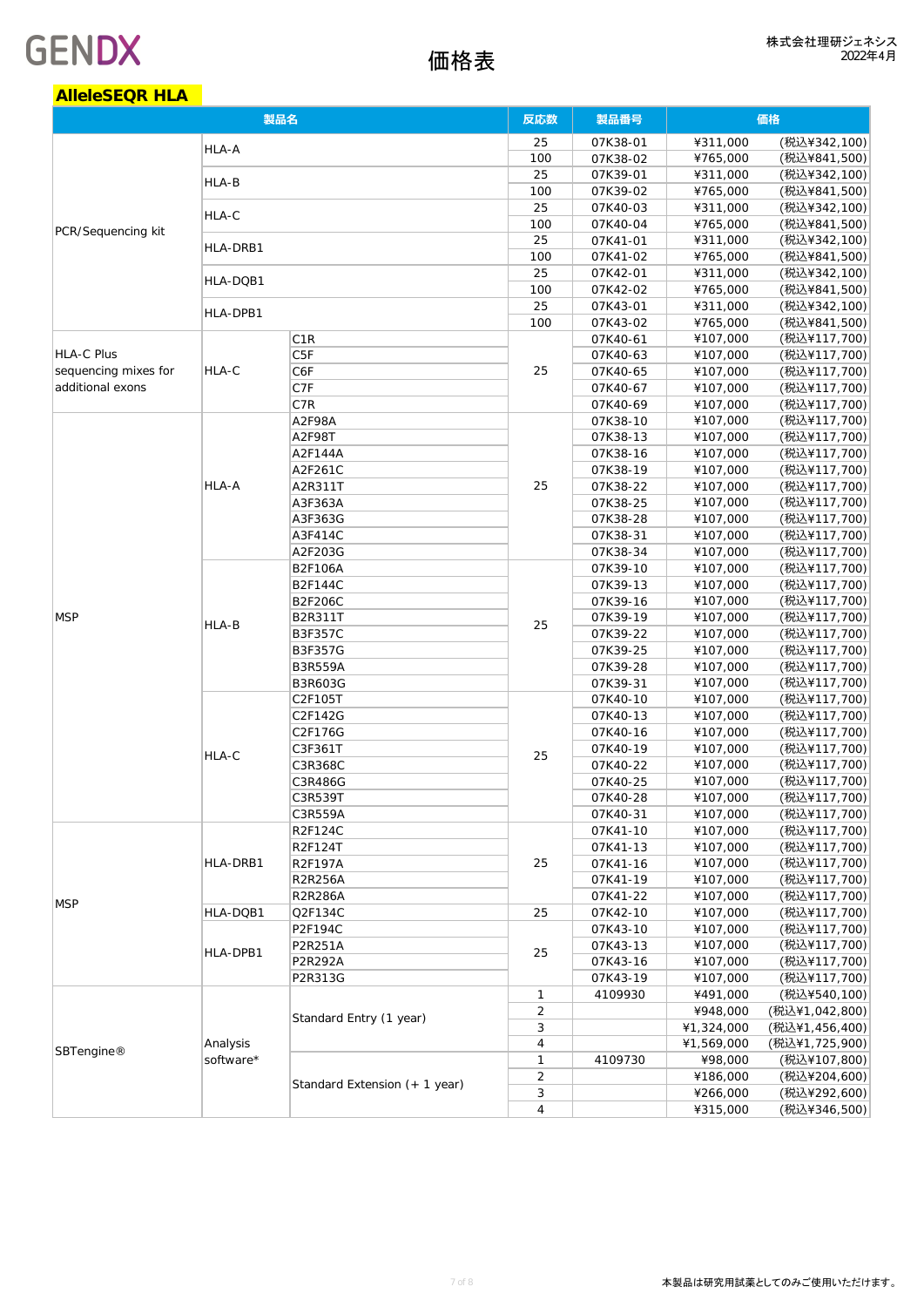| <b>AlleleSEQR HLA</b> |           |                                  |                |                      |                      |                              |
|-----------------------|-----------|----------------------------------|----------------|----------------------|----------------------|------------------------------|
|                       |           | 製品名                              | 反応数            | 製品番号                 | 価格                   |                              |
|                       | HLA-A     |                                  | 25             | 07K38-01             | ¥311,000             | (税込¥342,100)                 |
|                       |           |                                  | 100            | 07K38-02             | ¥765,000             | (税込¥841,500)                 |
|                       | HLA-B     |                                  | 25             | 07K39-01             | ¥311,000             | (税込¥342,100)                 |
|                       |           |                                  | 100            | 07K39-02             | ¥765,000             | (税込¥841,500)                 |
|                       | HLA-C     |                                  | 25             | 07K40-03             | ¥311,000             | (税込¥342,100)                 |
| PCR/Sequencing kit    |           |                                  | 100            | 07K40-04             | ¥765,000             | (税込¥841,500)                 |
|                       | HLA-DRB1  |                                  | 25<br>100      | 07K41-01<br>07K41-02 | ¥311,000<br>¥765,000 | (税込¥342,100)<br>(税込¥841,500) |
|                       |           |                                  | 25             | 07K42-01             | ¥311,000             | (税込¥342,100)                 |
|                       | HLA-DQB1  |                                  | 100            | 07K42-02             | ¥765,000             | (税込¥841,500)                 |
|                       |           |                                  | 25             | 07K43-01             | ¥311,000             | (税込¥342,100)                 |
|                       | HLA-DPB1  |                                  | 100            | 07K43-02             | ¥765,000             | (税込¥841,500)                 |
|                       |           | C <sub>1</sub> R                 |                | 07K40-61             | ¥107,000             | (税込¥117,700)                 |
| <b>HLA-C Plus</b>     |           | C <sub>5F</sub>                  |                | 07K40-63             | ¥107,000             | (税込¥117,700)                 |
| sequencing mixes for  | HLA-C     | C6F                              | 25             | 07K40-65             | ¥107,000             | (税込¥117,700)                 |
| additional exons      |           | C7F                              |                | 07K40-67             | ¥107,000             | (税込¥117,700)                 |
|                       |           | C7R                              |                | 07K40-69             | ¥107,000             | (税込¥117,700)                 |
|                       |           | A2F98A                           |                | 07K38-10             | ¥107,000             | (税込¥117,700)                 |
|                       |           | A2F98T                           |                | 07K38-13             | ¥107,000             | (税込¥117,700)                 |
|                       |           | A2F144A                          |                | 07K38-16             | ¥107,000             | (税込¥117,700)                 |
|                       |           | A2F261C                          |                | 07K38-19             | ¥107,000             | (税込¥117,700)                 |
|                       | HLA-A     | A2R311T                          | 25             | 07K38-22             | ¥107,000             | (税込¥117,700)                 |
|                       |           | A3F363A                          |                | 07K38-25             | ¥107,000             | (税込¥117,700)                 |
|                       |           | A3F363G                          |                | 07K38-28             | ¥107,000             | (税込¥117,700)                 |
|                       |           | A3F414C                          |                | 07K38-31             | ¥107,000             | (税込¥117,700)                 |
|                       | HLA-B     | A2F203G                          |                | 07K38-34             | ¥107,000             | (税込¥117,700)<br>(税込¥117,700) |
|                       |           | <b>B2F106A</b><br><b>B2F144C</b> | 25             | 07K39-10<br>07K39-13 | ¥107,000<br>¥107,000 | (税込¥117,700)                 |
|                       |           | B2F206C                          |                | 07K39-16             | ¥107,000             | (税込¥117,700)                 |
| <b>MSP</b>            |           | B2R311T                          |                | 07K39-19             | ¥107,000             | (税込¥117,700)                 |
|                       |           | B3F357C                          |                | 07K39-22             | ¥107,000             | (税込¥117,700)                 |
|                       |           | B3F357G                          |                | 07K39-25             | ¥107,000             | (税込¥117,700)                 |
|                       |           | <b>B3R559A</b>                   |                | 07K39-28             | ¥107,000             | (税込¥117,700)                 |
|                       |           | B3R603G                          |                | 07K39-31             | ¥107,000             | (税込¥117,700)                 |
|                       |           | C2F105T                          |                | 07K40-10             | ¥107,000             | (税込¥117,700)                 |
|                       | HLA-C     | C2F142G                          |                | 07K40-13             | ¥107,000             | (税込¥117,700)                 |
|                       |           | C2F176G                          |                | 07K40-16             | ¥107,000             | (税込¥117,700)                 |
|                       |           | C3F361T                          | 25             | 07K40-19             | ¥107,000             | (税込¥117,700)                 |
|                       |           | C3R368C                          |                | 07K40-22             | ¥107,000             | (税込¥117,700)                 |
|                       |           | C3R486G                          |                | 07K40-25             | ¥107,000             | (税込¥117,700)                 |
|                       |           | C3R539T                          |                | 07K40-28             | ¥107,000             | (税込¥117,700)                 |
|                       |           | C3R559A                          |                | 07K40-31             | ¥107,000             | (税込¥117,700)                 |
|                       |           | R2F124C                          |                | 07K41-10             | ¥107,000             | (税込¥117,700)                 |
|                       | HLA-DRB1  | R2F124T<br>R2F197A               | 25             | 07K41-13             | ¥107,000             | (税込¥117,700)<br>(税込¥117,700) |
|                       |           | R2R256A                          |                | 07K41-16<br>07K41-19 | ¥107,000<br>¥107,000 | (税込¥117,700)                 |
|                       |           | R2R286A                          |                | 07K41-22             | ¥107,000             | (税込¥117,700)                 |
| <b>MSP</b>            | HLA-DQB1  | Q2F134C                          | 25             | 07K42-10             | ¥107,000             | (税込¥117,700)                 |
|                       |           | P2F194C                          |                | 07K43-10             | ¥107,000             | (税込¥117,700)                 |
|                       |           | P2R251A                          |                | 07K43-13             | ¥107,000             | (税込¥117,700)                 |
|                       | HLA-DPB1  | P2R292A                          | 25             | 07K43-16             | ¥107,000             | (税込¥117,700)                 |
|                       |           | P2R313G                          |                | 07K43-19             | ¥107,000             | (税込¥117,700)                 |
|                       |           |                                  | $\mathbf{1}$   | 4109930              | ¥491,000             | (税込¥540,100)                 |
|                       |           |                                  | $\overline{2}$ |                      | ¥948,000             | (税込¥1,042,800)               |
|                       |           | Standard Entry (1 year)          | 3              |                      | ¥1,324,000           | (税込¥1,456,400)               |
| SBTengine®            | Analysis  |                                  | 4              |                      | ¥1,569,000           | (税込¥1,725,900)               |
|                       | software* |                                  | 1              | 4109730              | ¥98,000              | (税込¥107,800)                 |
|                       |           | Standard Extension (+ 1 year)    | $\overline{2}$ |                      | ¥186,000             | (税込¥204,600)                 |
|                       |           |                                  | 3              |                      | ¥266,000             | (税込¥292,600)                 |
|                       |           |                                  | 4              |                      | ¥315,000             | (税込¥346,500)                 |